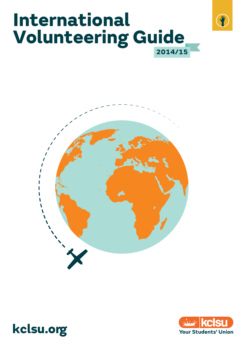





 $\mathcal{F}$ 

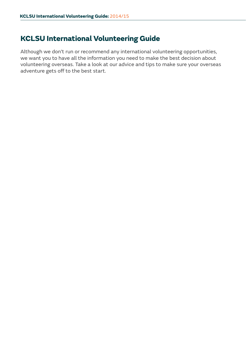# **KCLSU International Volunteering Guide**

Although we don't run or recommend any international volunteering opportunities, we want you to have all the information you need to make the best decision about volunteering overseas. Take a look at our advice and tips to make sure your overseas adventure gets off to the best start.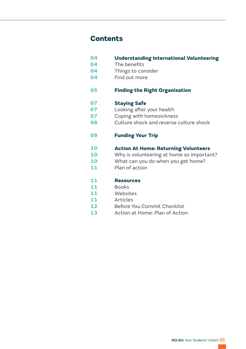# **Contents**

| 04 | <b>Understanding International Volunteering</b> |  |
|----|-------------------------------------------------|--|
| 04 | The benefits                                    |  |
| 04 | Things to consider                              |  |
| 04 | Find out more                                   |  |
| 05 | <b>Finding the Right Organisation</b>           |  |
| 07 | <b>Staying Safe</b>                             |  |
| 07 | Looking after your health                       |  |
| 07 | Coping with homesickness                        |  |
| 08 | Culture shock and reverse culture shock         |  |
| 09 | <b>Funding Your Trip</b>                        |  |
| 10 | <b>Action At Home: Returning Volunteers</b>     |  |
| 10 | Why is volunteering at home so important?       |  |
| 10 | What can you do when you get home?              |  |
| 11 | Plan of action                                  |  |
| 11 | <b>Resources</b>                                |  |
| 11 | <b>Books</b>                                    |  |
| 11 | Websites                                        |  |
| 11 | Articles                                        |  |
| 12 | Before You Commit Checklist                     |  |
| 13 | Action at Home: Plan of Action                  |  |
|    |                                                 |  |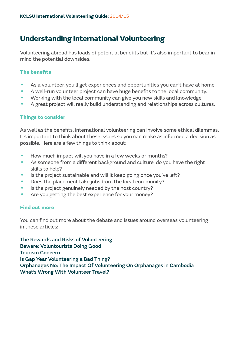# <span id="page-3-0"></span>**Understanding International Volunteering**

Volunteering abroad has loads of potential benefits but it's also important to bear in mind the potential downsides.

## **The benefits**

- As a volunteer, you'll get experiences and opportunities you can't have at home.
- A well-run volunteer project can have huge benefits to the local community.
- Working with the local community can give you new skills and knowledge.
- A great project will really build understanding and relationships across cultures.

## **Things to consider**

As well as the benefits, international volunteering can involve some ethical dilemmas. It's important to think about these issues so you can make as informed a decision as possible. Here are a few things to think about:

- How much impact will you have in a few weeks or months?
- As someone from a different background and culture, do you have the right skills to help?
- Is the project sustainable and will it keep going once you've left?
- Does the placement take jobs from the local community?
- Is the project genuinely needed by the host country?
- Are you getting the best experience for your money?

## **Find out more**

You can find out more about the debate and issues around overseas volunteering in these articles:

[The Rewards and Risks of Volunteering](http://www.cntraveler.com/stories/2013-01-15/volunteer-vacations-rewards-risks) [Beware: Voluntourists Doing Good](http://www.theguardian.com/world/2013/feb/13/beware-voluntourists-doing-good) [Tourism Concern](http://tourismconcern.org.uk/)  [Is Gap Year Volunteering a Bad Thing?](http://www.bbc.co.uk/news/magazine-22294205) [Orphanages No: The Impact Of Volunteering On Orphanages in Cambodia](http://www.orphanages.no/) [What's Wrong With Volunteer Travel?](https://www.youtube.com/watch?v=oYWl6Wz2NB8)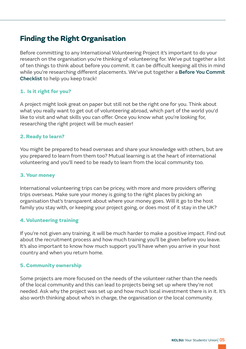# <span id="page-4-0"></span>**Finding the Right Organisation**

Before committing to any International Volunteering Project it's important to do your research on the organisation you're thinking of volunteering for. We've put together a list of ten things to think about before you commit. It can be difficult keeping all this in mind while you're researching different placements. We've put together a [Before You Commit](#page-11-0)  [Checklist](#page-11-0) to help you keep track!

### **1. Is it right for you?**

A project might look great on paper but still not be the right one for you. Think about what you really want to get out of volunteering abroad, which part of the world you'd like to visit and what skills you can offer. Once you know what you're looking for, researching the right project will be much easier!

#### **2. Ready to learn?**

You might be prepared to head overseas and share your knowledge with others, but are you prepared to learn from them too? Mutual learning is at the heart of international volunteering and you'll need to be ready to learn from the local community too.

#### **3. Your money**

International volunteering trips can be pricey, with more and more providers offering trips overseas. Make sure your money is going to the right places by picking an organisation that's transparent about where your money goes. Will it go to the host family you stay with, or keeping your project going, or does most of it stay in the UK?

#### **4. Volunteering training**

If you're not given any training, it will be much harder to make a positive impact. Find out about the recruitment process and how much training you'll be given before you leave. It's also important to know how much support you'll have when you arrive in your host country and when you return home.

#### **5. Community ownership**

Some projects are more focused on the needs of the volunteer rather than the needs of the local community and this can lead to projects being set up where they're not needed. Ask why the project was set up and how much local investment there is in it. It's also worth thinking about who's in charge, the organisation or the local community.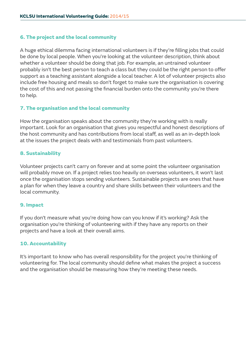#### **6. The project and the local community**

A huge ethical dilemma facing international volunteers is if they're filling jobs that could be done by local people. When you're looking at the volunteer description, think about whether a volunteer should be doing that job. For example, an untrained volunteer probably isn't the best person to teach a class but they could be the right person to offer support as a teaching assistant alongside a local teacher. A lot of volunteer projects also include free housing and meals so don't forget to make sure the organisation is covering the cost of this and not passing the financial burden onto the community you're there to help.

### **7. The organisation and the local community**

How the organisation speaks about the community they're working with is really important. Look for an organisation that gives you respectful and honest descriptions of the host community and has contributions from local staff, as well as an in-depth look at the issues the project deals with and testimonials from past volunteers.

### **8. Sustainability**

Volunteer projects can't carry on forever and at some point the volunteer organisation will probably move on. If a project relies too heavily on overseas volunteers, it won't last once the organisation stops sending volunteers. Sustainable projects are ones that have a plan for when they leave a country and share skills between their volunteers and the local community.

## **9. Impact**

If you don't measure what you're doing how can you know if it's working? Ask the organisation you're thinking of volunteering with if they have any reports on their projects and have a look at their overall aims.

#### **10. Accountability**

It's important to know who has overall responsibility for the project you're thinking of volunteering for. The local community should define what makes the project a success and the organisation should be measuring how they're meeting these needs.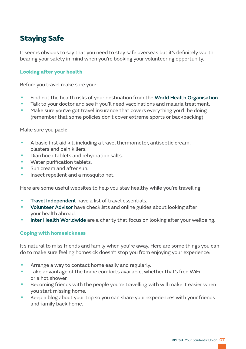# <span id="page-6-0"></span>**Staying Safe**

It seems obvious to say that you need to stay safe overseas but it's definitely worth bearing your safety in mind when you're booking your volunteering opportunity.

#### **Looking after your health**

Before you travel make sure you:

- Find out the health risks of your destination from the [World Health Organisation](http://apps.who.int/ithmap/).
- Talk to your doctor and see if you'll need vaccinations and malaria treatment.
- Make sure you've got travel insurance that covers everything you'll be doing (remember that some policies don't cover extreme sports or backpacking).

Make sure you pack:

- A basic first aid kit, including a travel thermometer, antiseptic cream, plasters and pain killers.
- Diarrhoea tablets and rehydration salts.
- Water purification tablets.
- Sun cream and after sun.
- Insect repellent and a mosquito net.

Here are some useful websites to help you stay healthy while you're travelling:

- [Travel Independent](http://www.travelindependent.info/) have a list of travel essentials.
- [Volunteer Advisor](http://www.volunteeradvisor.co.uk/index.html) have checklists and online guides about looking after your health abroad.
- [Inter Health Worldwide](http://www.interhealthworldwide.org/) are a charity that focus on looking after your wellbeing.

#### **Coping with homesickness**

It's natural to miss friends and family when you're away. Here are some things you can do to make sure feeling homesick doesn't stop you from enjoying your experience:

- Arrange a way to contact home easily and regularly.
- Take advantage of the home comforts available, whether that's free WiFi or a hot shower.
- Becoming friends with the people you're travelling with will make it easier when you start missing home.
- Keep a blog about your trip so you can share your experiences with your friends and family back home.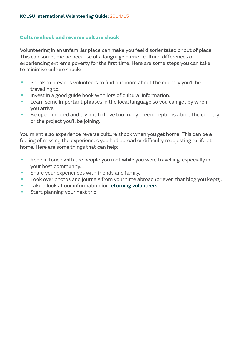#### <span id="page-7-0"></span>**Culture shock and reverse culture shock**

Volunteering in an unfamiliar place can make you feel disorientated or out of place. This can sometime be because of a language barrier, cultural differences or experiencing extreme poverty for the first time. Here are some steps you can take to minimise culture shock:

- Speak to previous volunteers to find out more about the country you'll be travelling to.
- Invest in a good guide book with lots of cultural information.
- Learn some important phrases in the local language so you can get by when you arrive.
- Be open-minded and try not to have too many preconceptions about the country or the project you'll be joining.

You might also experience reverse culture shock when you get home. This can be a feeling of missing the experiences you had abroad or difficulty readjusting to life at home. Here are some things that can help:

- Keep in touch with the people you met while you were travelling, especially in your host community.
- Share your experiences with friends and family.
- Look over photos and journals from your time abroad (or even that blog you kept!).
- Take a look at our information for [returning volunteers](#page-9-0).
- Start planning your next trip!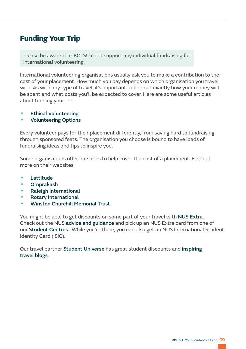# <span id="page-8-0"></span>**Funding Your Trip**

Please be aware that KCLSU can't support any individual fundraising for international volunteering.

International volunteering organisations usually ask you to make a contribution to the cost of your placement. How much you pay depends on which organisation you travel with. As with any type of travel, it's important to find out exactly how your money will be spent and what costs you'll be expected to cover. Here are some useful articles about funding your trip:

- [Ethical Volunteering](http://ethicalvolunteering.org/guide.html)
- [Volunteering Options](http://www.comhlamh.org/volunteeringoptions/)

Every volunteer pays for their placement differently, from saving hard to fundraising through sponsored feats. The organisation you choose is bound to have loads of fundraising ideas and tips to inspire you.

Some organisations offer bursaries to help cover the cost of a placement. Find out more on their websites:

- [Lattitude](http://www.lattitude.org.uk/apply-now/bursaries/)
- [Omprakash](https://www.omprakash.org/volunteer-abroad-grants)
- [Raleigh International](http://www.raleighinternational.org/what-we-do/raleigh-expeditions/aged-17-24/what-are-the-fundraising-costs/raleigh-bursary-award)
- [Rotary International](https://www.rotary.org/en/youth-exchanges)
- [•](http://www.wcmt.org.uk/) [Winston Churchill Memorial Trust](http://www.wcmt.org.uk/)

[You might be able to get discounts on some part of your travel with](http://www.wcmt.org.uk/) NUS Extra. Check out the NUS advice and guidance [and pick up an NUS Extra card from one of](http://www.wcmt.org.uk/)  our Student Centres[. While you're there, you can also get an NUS International Student](http://www.wcmt.org.uk/)  [Identity Card \(ISIC\).](http://www.wcmt.org.uk/)

Our travel partner Student Universe [has great student discounts and](http://www.wcmt.org.uk/) inspiring [travel blogs](http://www.wcmt.org.uk/).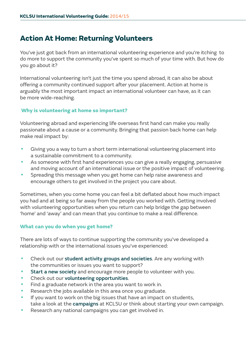# <span id="page-9-0"></span>**Action At Home: Returning Volunteers**

You've just got back from an international volunteering experience and you're itching to do more to support the community you've spent so much of your time with. But how do you go about it?

International volunteering isn't just the time you spend abroad, it can also be about offering a community continued support after your placement. Action at home is arguably the most important impact an international volunteer can have, as it can be more wide-reaching.

#### **Why is volunteering at home so important?**

Volunteering abroad and experiencing life overseas first hand can make you really passionate about a cause or a community. Bringing that passion back home can help make real impact by:

- Giving you a way to turn a short term international volunteering placement into a sustainable commitment to a community.
- As someone with first hand experiences you can give a really engaging, persuasive and moving account of an international issue or the positive impact of volunteering.
- Spreading this message when you get home can help raise awareness and encourage others to get involved in the project you care about.

Sometimes, when you come home you can feel a bit deflated about how much impact you had and at being so far away from the people you worked with. Getting involved with volunteering opportunities when you return can help bridge the gap between 'home' and 'away' and can mean that you continue to make a real difference.

#### **What can you do when you get home?**

There are lots of ways to continue supporting the community you've developed a relationship with or the international issues you've experienced:

- Check out our [student activity groups and societies](http://www.kclsu.org/societies/). Are any working with the communities or issues you want to support?
- [Start a new society](http://www.kclsu.org/startingagroup/) and encourage more people to volunteer with you.
- Check out our [volunteering opportunities](http://www.kclsu.org/opportunities/).
- Find a graduate network in the area you want to work in.
- Research the jobs available in this area once you graduate.
- If you want to work on the big issues that have an impact on students, take a look at the [campaigns](http://www.kclsu.org/ourcampaigns/) at KCLSU or think about starting your own campaign.
- Research any national campaigns you can get involved in.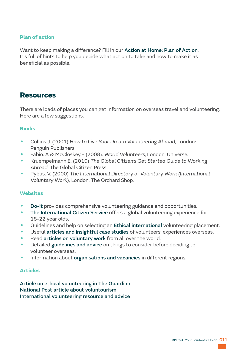#### <span id="page-10-0"></span>**Plan of action**

Want to keep making a difference? Fill in our [Action at Home: Plan of Action](#page-12-0). It's full of hints to help you decide what action to take and how to make it as beneficial as possible.

# **Resources**

There are loads of places you can get information on overseas travel and volunteering. Here are a few suggestions.

#### **Books**

- Collins.J. (2001) How to Live Your Dream Volunteering Abroad, London: Penguin Publishers.
- Fabio. A & McCloskey.E (2008). World Volunteers, London: Universe.
- Kruempelmann.E. (2010) The Global Citizen's Get Started Guide to Working Abroad, The Global Citizen Press.
- Pybus. V. (2000) The International Directory of Voluntary Work (International Voluntary Work), London: The Orchard Shop.

#### **Websites**

- [Do-it](http://www.do-it.org.uk/) provides comprehensive volunteering guidance and opportunities.
- [The International Citizen Service](http://www.vso.org.uk/volunteer/opportunities/vso-ics-for-18-25-year-olds) offers a global volunteering experience for 18-22 year olds.
- Guidelines and help on selecting an **Ethical international** volunteering placement.
- Useful [articles and insightful case studies](http://t.co/q8ElKnkomn) of volunteers' experiences overseas.
- Read [articles on voluntary work](http://www.voluntaryworker.co.uk/) from all over the world.
- Detailed [guidelines and advice](http://www.comhlamh.org/volunteeringoptions/) on things to consider before deciding to volunteer overseas.
- Information about [organisations and vacancies](http://www.workingabroad.com/) in different regions.

#### **Articles**

[Article on ethical volunteering in The Guardian](http://www.theguardian.com/commentisfree/2010/nov/14/orphans-cambodia-aids-holidays-madonna) [National Post article about voluntourism](http://news.nationalpost.com/2013/04/19/mixing-luxury-vacations-with-charity-work-can-harm-as-much-as-it-helps/) [International volunteering resource and advice](http://takeyourbigtrip.com/2011/02/06/open-heart-international-volunteering-articles/)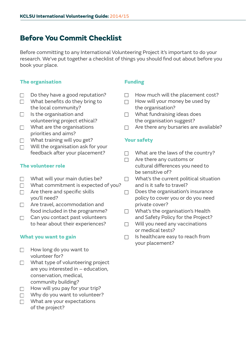# <span id="page-11-0"></span>**Before You Commit Checklist**

Before committing to any International Volunteering Project it's important to do your research. We've put together a checklist of things you should find out about before you book your place.

### **The organisation**

- Do they have a good reputation?  $\Box$
- $\Box$  What benefits do they bring to the local community?
- $\Box$  Is the organisation and volunteering project ethical?
- What are the organisations priorities and aims?
- What training will you get?  $\Box$
- Will the organisation ask for your  $\Box$ feedback after your placement?

### **The volunteer role**

- $\Box$  What will your main duties be?
- What commitment is expected of you?
- $\Box$  Are there and specific skills you'll need?
- □ Are travel, accommodation and food included in the programme?
- $\Box$  Can you contact past volunteers to hear about their experiences?

#### **What you want to gain**

- How long do you want to  $\Box$ volunteer for?
- What type of volunteering project are you interested in – education, conservation, medical, community building?
- $\Box$  How will you pay for your trip?
- $\Box$  Why do you want to volunteer?
- What are your expectations  $\Box$ of the project?

## **Funding**

- How much will the placement cost?  $\Box$
- How will your money be used by  $\Box$ the organisation?
- What fundraising ideas does the organisation suggest?
- Are there any bursaries are available?  $\Box$

### **Your safety**

- What are the laws of the country?  $\Box$
- Are there any customs or  $\Box$ cultural differences you need to be sensitive of?
- What's the current political situation and is it safe to travel?
- Does the organisation's insurance  $\Box$ policy to cover you or do you need private cover?
- What's the organisation's Health  $\Box$ and Safety Policy for the Project?
- $\Box$  Will you need any vaccinations or medical tests?
- Is healthcare easy to reach from  $\Box$ your placement?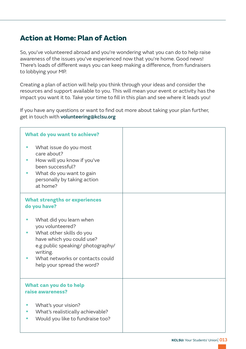# <span id="page-12-0"></span>**Action at Home: Plan of Action**

So, you've volunteered abroad and you're wondering what you can do to help raise awareness of the issues you've experienced now that you're home. Good news! There's loads of different ways you can keep making a difference, from fundraisers to lobbying your MP.

Creating a plan of action will help you think through your ideas and consider the resources and support available to you. This will mean your event or activity has the impact you want it to. Take your time to fill in this plan and see where it leads you!

If you have any questions or want to find out more about taking your plan further, get in touch with [volunteering@kclsu.org](mailto:volunteering%40kclsu.org?subject=)

| What do you want to achieve?                                                                                                                                                                                           |  |
|------------------------------------------------------------------------------------------------------------------------------------------------------------------------------------------------------------------------|--|
| What issue do you most<br>care about?<br>How will you know if you've<br>been successful?<br>What do you want to gain<br>personally by taking action<br>at home?                                                        |  |
| <b>What strengths or experiences</b><br>do you have?                                                                                                                                                                   |  |
| What did you learn when<br>you volunteered?<br>What other skills do you<br>have which you could use?<br>e.g public speaking/ photography/<br>writing.<br>What networks or contacts could<br>help your spread the word? |  |
| What can you do to help<br>raise awareness?                                                                                                                                                                            |  |
| What's your vision?<br>What's realistically achievable?<br>Would you like to fundraise too?                                                                                                                            |  |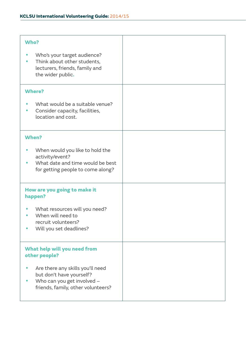| Who?                                                                                                                             |  |
|----------------------------------------------------------------------------------------------------------------------------------|--|
| Who's your target audience?<br>Think about other students,<br>lecturers, friends, family and<br>the wider public.                |  |
| <b>Where?</b>                                                                                                                    |  |
| What would be a suitable venue?<br>Consider capacity, facilities,<br>location and cost.                                          |  |
| When?                                                                                                                            |  |
| When would you like to hold the<br>activity/event?<br>What date and time would be best<br>for getting people to come along?      |  |
| How are you going to make it<br>happen?                                                                                          |  |
| What resources will you need?<br>When will need to<br>recruit volunteers?<br>Will you set deadlines?                             |  |
| What help will you need from<br>other people?                                                                                    |  |
| Are there any skills you'll need<br>but don't have yourself?<br>Who can you get involved -<br>friends, family, other volunteers? |  |